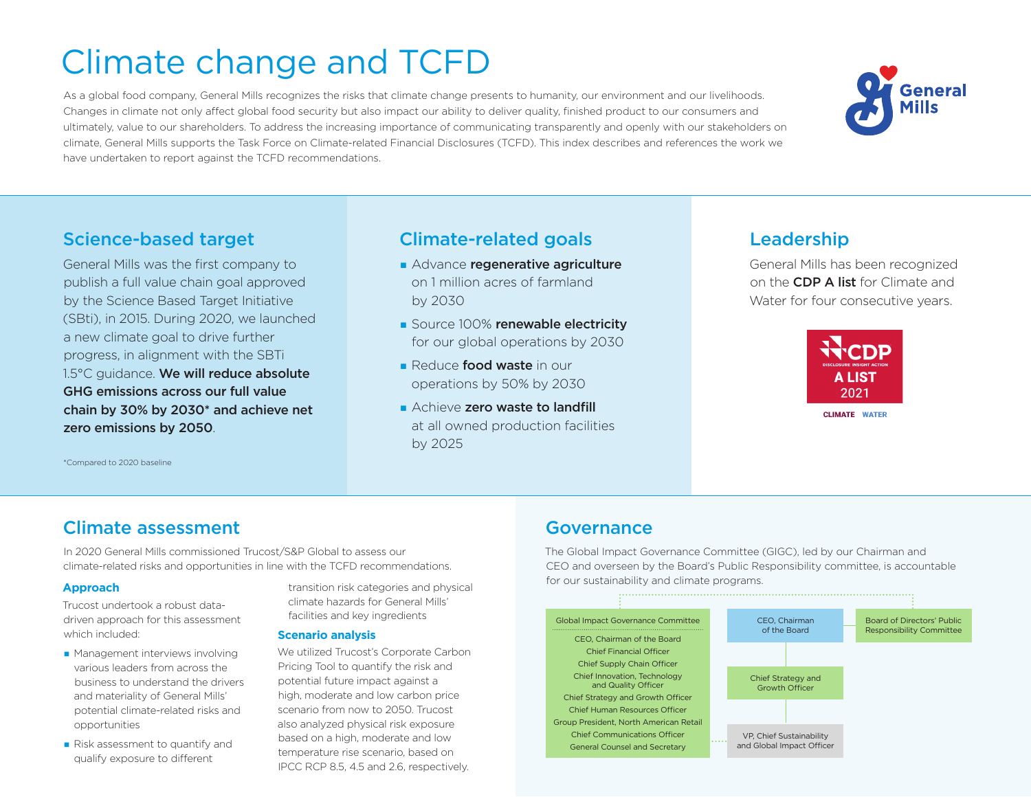# Climate change and TCFD

As a global food company, General Mills recognizes the risks that climate change presents to humanity, our environment and our livelihoods. Changes in climate not only affect global food security but also impact our ability to deliver quality, finished product to our consumers and ultimately, value to our shareholders. To address the increasing importance of communicating transparently and openly with our stakeholders on climate, General Mills supports the Task Force on Climate-related Financial Disclosures (TCFD). This index describes and references the work we have undertaken to report against the TCFD recommendations.

### Science-based target **Leadership** Climate-related goals and Leadership

General Mills was the first company to publish a full value chain goal approved by the Science Based Target Initiative (SBti), in 2015. During 2020, we launched a new climate goal to drive further progress, in alignment with the SBTi 1.5°C guidance. We will reduce absolute GHG emissions across our full value chain by 30% by 2030\* and achieve net zero emissions by 2050.

- Advance regenerative agriculture on 1 million acres of farmland by 2030
- Source 100% renewable electricity for our global operations by 2030
- **Reduce food waste in our** operations by 50% by 2030
- **n** Achieve zero waste to landfill at all owned production facilities by 2025

General Mills has been recognized on the CDP A list for Climate and Water for four consecutive years.



**CLIMATE WATER** 

\*Compared to 2020 baseline

### Climate assessment

In 2020 General Mills commissioned Trucost/S&P Global to assess our climate-related risks and opportunities in line with the TCFD recommendations.

#### **Approach**

Trucost undertook a robust datadriven approach for this assessment which included:

- $\blacksquare$  Management interviews involving various leaders from across the business to understand the drivers and materiality of General Mills' potential climate-related risks and opportunities
- Risk assessment to quantify and qualify exposure to different

transition risk categories and physical climate hazards for General Mills' facilities and key ingredients

#### **Scenario analysis**

We utilized Trucost's Corporate Carbon Pricing Tool to quantify the risk and potential future impact against a high, moderate and low carbon price scenario from now to 2050. Trucost also analyzed physical risk exposure based on a high, moderate and low temperature rise scenario, based on IPCC RCP 8.5, 4.5 and 2.6, respectively.

# Governance

The Global Impact Governance Committee (GIGC), led by our Chairman and CEO and overseen by the Board's Public Responsibility committee, is accountable for our sustainability and climate programs.